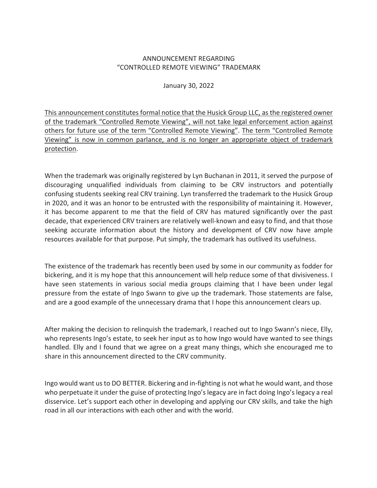## ANNOUNCEMENT REGARDING "CONTROLLED REMOTE VIEWING" TRADEMARK

January 30, 2022

This announcement constitutes formal notice that the Husick Group LLC, as the registered owner of the trademark "Controlled Remote Viewing", will not take legal enforcement action against others for future use of the term "Controlled Remote Viewing". The term "Controlled Remote Viewing" is now in common parlance, and is no longer an appropriate object of trademark protection.

When the trademark was originally registered by Lyn Buchanan in 2011, it served the purpose of discouraging unqualified individuals from claiming to be CRV instructors and potentially confusing students seeking real CRV training. Lyn transferred the trademark to the Husick Group in 2020, and it was an honor to be entrusted with the responsibility of maintaining it. However, it has become apparent to me that the field of CRV has matured significantly over the past decade, that experienced CRV trainers are relatively well-known and easy to find, and that those seeking accurate information about the history and development of CRV now have ample resources available for that purpose. Put simply, the trademark has outlived its usefulness.

The existence of the trademark has recently been used by some in our community as fodder for bickering, and it is my hope that this announcement will help reduce some of that divisiveness. I have seen statements in various social media groups claiming that I have been under legal pressure from the estate of Ingo Swann to give up the trademark. Those statements are false, and are a good example of the unnecessary drama that I hope this announcement clears up.

After making the decision to relinquish the trademark, I reached out to Ingo Swann's niece, Elly, who represents Ingo's estate, to seek her input as to how Ingo would have wanted to see things handled. Elly and I found that we agree on a great many things, which she encouraged me to share in this announcement directed to the CRV community.

Ingo would want us to DO BETTER. Bickering and in-fighting is not what he would want, and those who perpetuate it under the guise of protecting Ingo's legacy are in fact doing Ingo's legacy a real disservice. Let's support each other in developing and applying our CRV skills, and take the high road in all our interactions with each other and with the world.